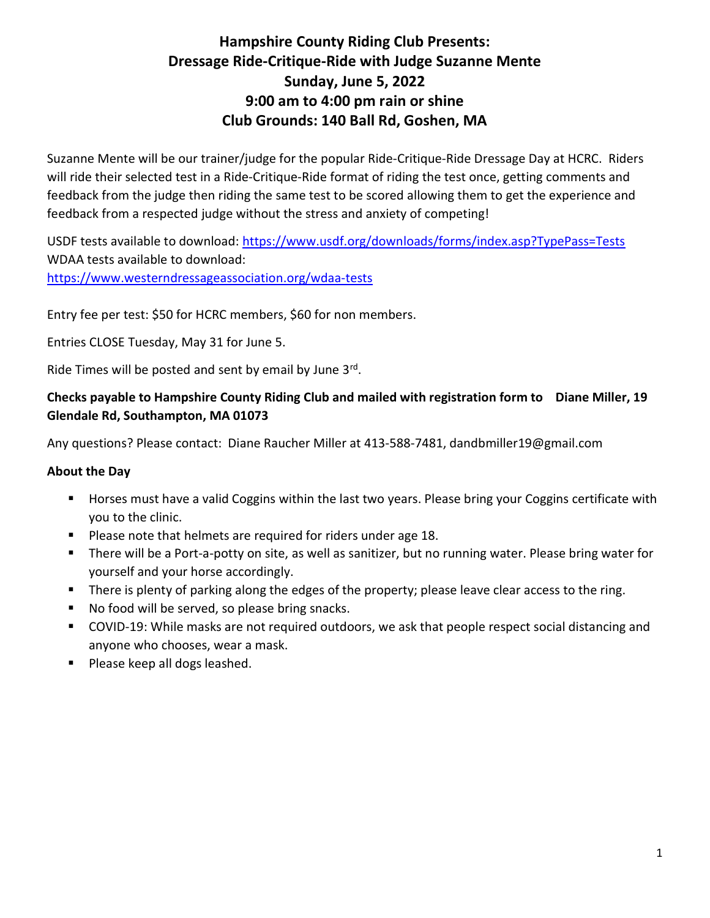# Hampshire County Riding Club Presents: Dressage Ride-Critique-Ride with Judge Suzanne Mente Sunday, June 5, 2022 9:00 am to 4:00 pm rain or shine Club Grounds: 140 Ball Rd, Goshen, MA

Suzanne Mente will be our trainer/judge for the popular Ride-Critique-Ride Dressage Day at HCRC. Riders will ride their selected test in a Ride-Critique-Ride format of riding the test once, getting comments and feedback from the judge then riding the same test to be scored allowing them to get the experience and feedback from a respected judge without the stress and anxiety of competing!

USDF tests available to download: https://www.usdf.org/downloads/forms/index.asp?TypePass=Tests WDAA tests available to download: https://www.westerndressageassociation.org/wdaa-tests

Entry fee per test: \$50 for HCRC members, \$60 for non members.

Entries CLOSE Tuesday, May 31 for June 5.

Ride Times will be posted and sent by email by June 3rd.

## Checks payable to Hampshire County Riding Club and mailed with registration form to Diane Miller, 19 Glendale Rd, Southampton, MA 01073

Any questions? Please contact: Diane Raucher Miller at 413-588-7481, dandbmiller19@gmail.com

### About the Day

- **Horses must have a valid Coggins within the last two years. Please bring your Coggins certificate with** you to the clinic.
- **Please note that helmets are required for riders under age 18.**
- **There will be a Port-a-potty on site, as well as sanitizer, but no running water. Please bring water for** yourself and your horse accordingly.
- There is plenty of parking along the edges of the property; please leave clear access to the ring.
- No food will be served, so please bring snacks.
- COVID-19: While masks are not required outdoors, we ask that people respect social distancing and anyone who chooses, wear a mask.
- Please keep all dogs leashed.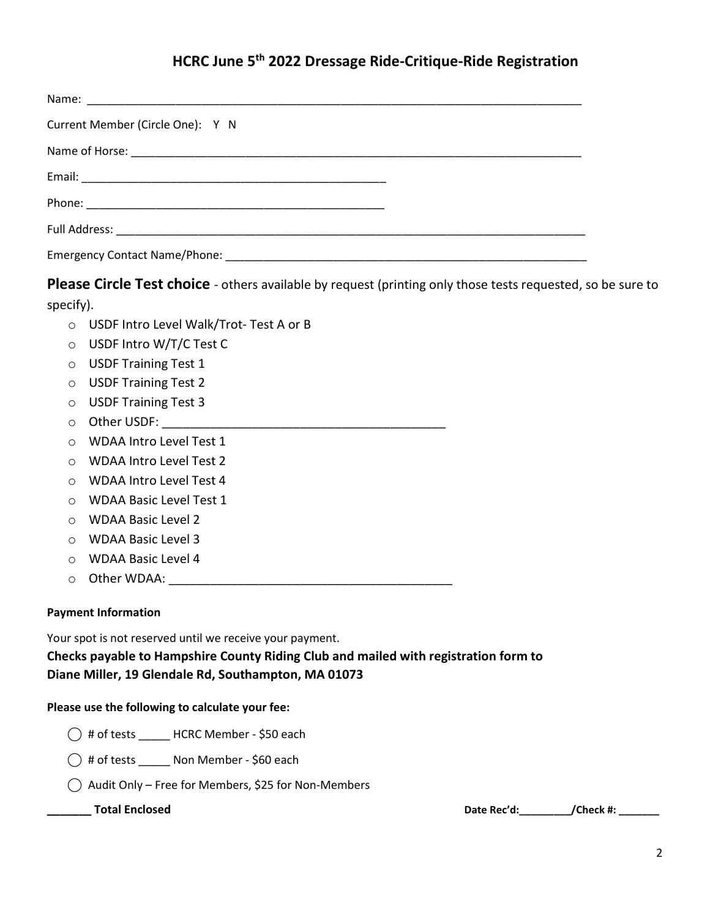# HCRC June 5th 2022 Dressage Ride-Critique-Ride Registration

| Current Member (Circle One): Y N |
|----------------------------------|
|                                  |
|                                  |
|                                  |
|                                  |
|                                  |

Please Circle Test choice - others available by request (printing only those tests requested, so be sure to specify).

o USDF Intro Level Walk/Trot- Test A or B

- o USDF Intro W/T/C Test C
- o USDF Training Test 1
- o USDF Training Test 2
- o USDF Training Test 3
- o Other USDF: \_\_\_\_\_\_\_\_\_\_\_\_\_\_\_\_\_\_\_\_\_\_\_\_\_\_\_\_\_\_\_\_\_\_\_\_\_\_\_\_\_
- o WDAA Intro Level Test 1
- o WDAA Intro Level Test 2
- o WDAA Intro Level Test 4
- o WDAA Basic Level Test 1
- o WDAA Basic Level 2
- o WDAA Basic Level 3
- o WDAA Basic Level 4
- o Other WDAA: \_\_\_\_\_\_\_\_\_\_\_\_\_\_\_\_\_\_\_\_\_\_\_\_\_\_\_\_\_\_\_\_\_\_\_\_\_\_\_\_\_

### Payment Information

Your spot is not reserved until we receive your payment.

Checks payable to Hampshire County Riding Club and mailed with registration form to Diane Miller, 19 Glendale Rd, Southampton, MA 01073

### Please use the following to calculate your fee:

- ⃝ # of tests \_\_\_\_\_ HCRC Member \$50 each
- $\bigcirc$  # of tests \_\_\_\_\_ Non Member \$60 each
- $\bigcap$  Audit Only Free for Members, \$25 for Non-Members

\_\_\_\_\_\_\_ Total Enclosed Date Rec'd:\_\_\_\_\_\_\_\_\_/Check #: \_\_\_\_\_\_\_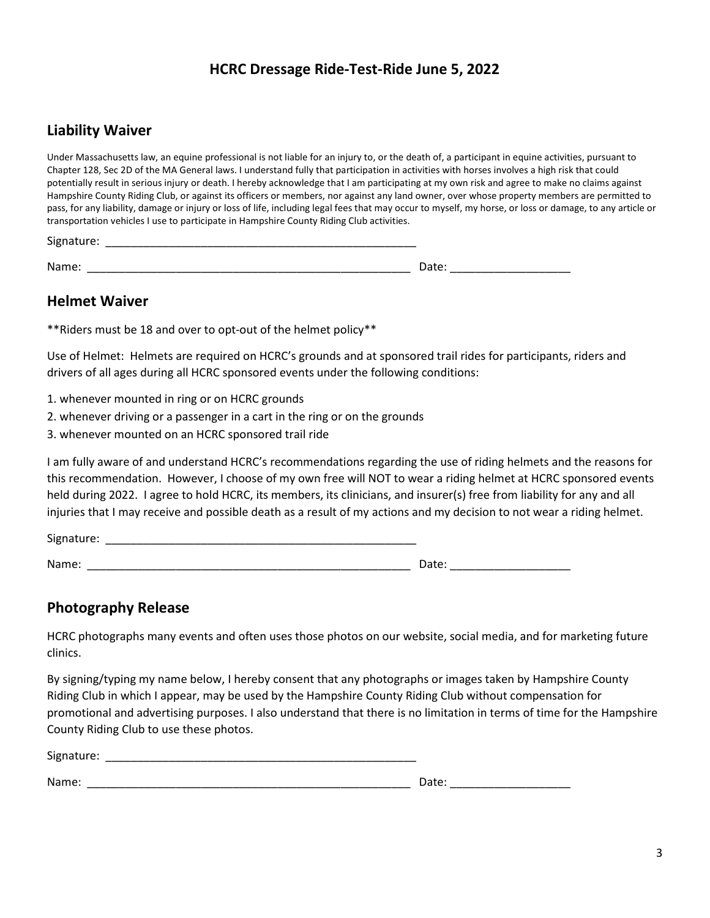## HCRC Dressage Ride-Test-Ride June 5, 2022

### Liability Waiver

Under Massachusetts law, an equine professional is not liable for an injury to, or the death of, a participant in equine activities, pursuant to Chapter 128, Sec 2D of the MA General laws. I understand fully that participation in activities with horses involves a high risk that could potentially result in serious injury or death. I hereby acknowledge that I am participating at my own risk and agree to make no claims against Hampshire County Riding Club, or against its officers or members, nor against any land owner, over whose property members are permitted to pass, for any liability, damage or injury or loss of life, including legal fees that may occur to myself, my horse, or loss or damage, to any article or transportation vehicles I use to participate in Hampshire County Riding Club activities.

Signature:

Name: \_\_\_\_\_\_\_\_\_\_\_\_\_\_\_\_\_\_\_\_\_\_\_\_\_\_\_\_\_\_\_\_\_\_\_\_\_\_\_\_\_\_\_\_\_\_\_\_\_\_\_ Date: \_\_\_\_\_\_\_\_\_\_\_\_\_\_\_\_\_\_\_

### Helmet Waiver

\*\*Riders must be 18 and over to opt-out of the helmet policy\*\*

Use of Helmet: Helmets are required on HCRC's grounds and at sponsored trail rides for participants, riders and drivers of all ages during all HCRC sponsored events under the following conditions:

- 1. whenever mounted in ring or on HCRC grounds
- 2. whenever driving or a passenger in a cart in the ring or on the grounds
- 3. whenever mounted on an HCRC sponsored trail ride

I am fully aware of and understand HCRC's recommendations regarding the use of riding helmets and the reasons for this recommendation. However, I choose of my own free will NOT to wear a riding helmet at HCRC sponsored events held during 2022. I agree to hold HCRC, its members, its clinicians, and insurer(s) free from liability for any and all injuries that I may receive and possible death as a result of my actions and my decision to not wear a riding helmet.

Signature: \_\_\_\_\_\_\_\_\_\_\_\_\_\_\_\_\_\_\_\_\_\_\_\_\_\_\_\_\_\_\_\_\_\_\_\_\_\_\_\_\_\_\_\_\_\_\_\_\_

Name: \_\_\_\_\_\_\_\_\_\_\_\_\_\_\_\_\_\_\_\_\_\_\_\_\_\_\_\_\_\_\_\_\_\_\_\_\_\_\_\_\_\_\_\_\_\_\_\_\_\_\_ Date: \_\_\_\_\_\_\_\_\_\_\_\_\_\_\_\_\_\_\_

### Photography Release

HCRC photographs many events and often uses those photos on our website, social media, and for marketing future clinics.

By signing/typing my name below, I hereby consent that any photographs or images taken by Hampshire County Riding Club in which I appear, may be used by the Hampshire County Riding Club without compensation for promotional and advertising purposes. I also understand that there is no limitation in terms of time for the Hampshire County Riding Club to use these photos.

Signature: \_\_\_\_\_\_\_\_\_\_\_\_\_\_\_\_\_\_\_\_\_\_\_\_\_\_\_\_\_\_\_\_\_\_\_\_\_\_\_\_\_\_\_\_\_\_\_\_\_

Name: \_\_\_\_\_\_\_\_\_\_\_\_\_\_\_\_\_\_\_\_\_\_\_\_\_\_\_\_\_\_\_\_\_\_\_\_\_\_\_\_\_\_\_\_\_\_\_\_\_\_\_ Date: \_\_\_\_\_\_\_\_\_\_\_\_\_\_\_\_\_\_\_